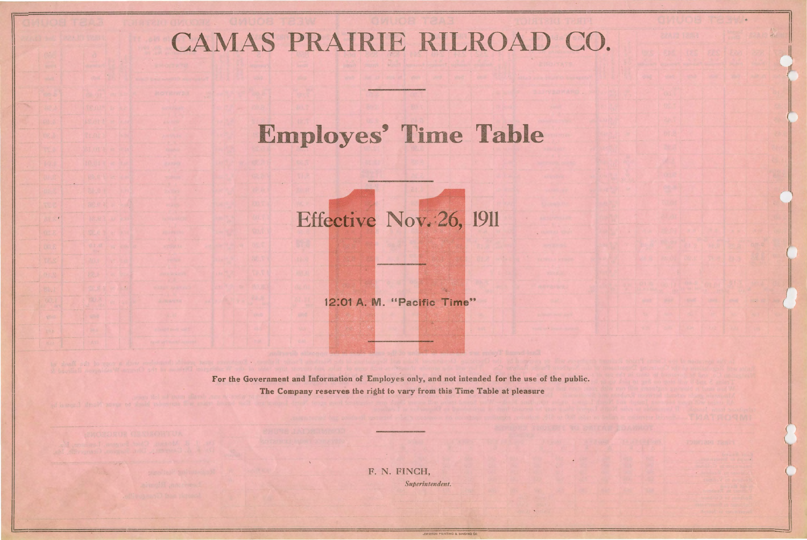## CAMAS PRAIRIE RILROAD CO.

## **Employes' Time Table**

Effective Nov. 26, 1911

12:01 A. M. "Pacific Time"



For the Government and Information of Employes only, and not intended for the use of the public. The Company reserves the right to vary from this Time Table at pleasure

> F. N. FINCH, Superintendent.

> > **EWISTON PRINTING & BINDING C**